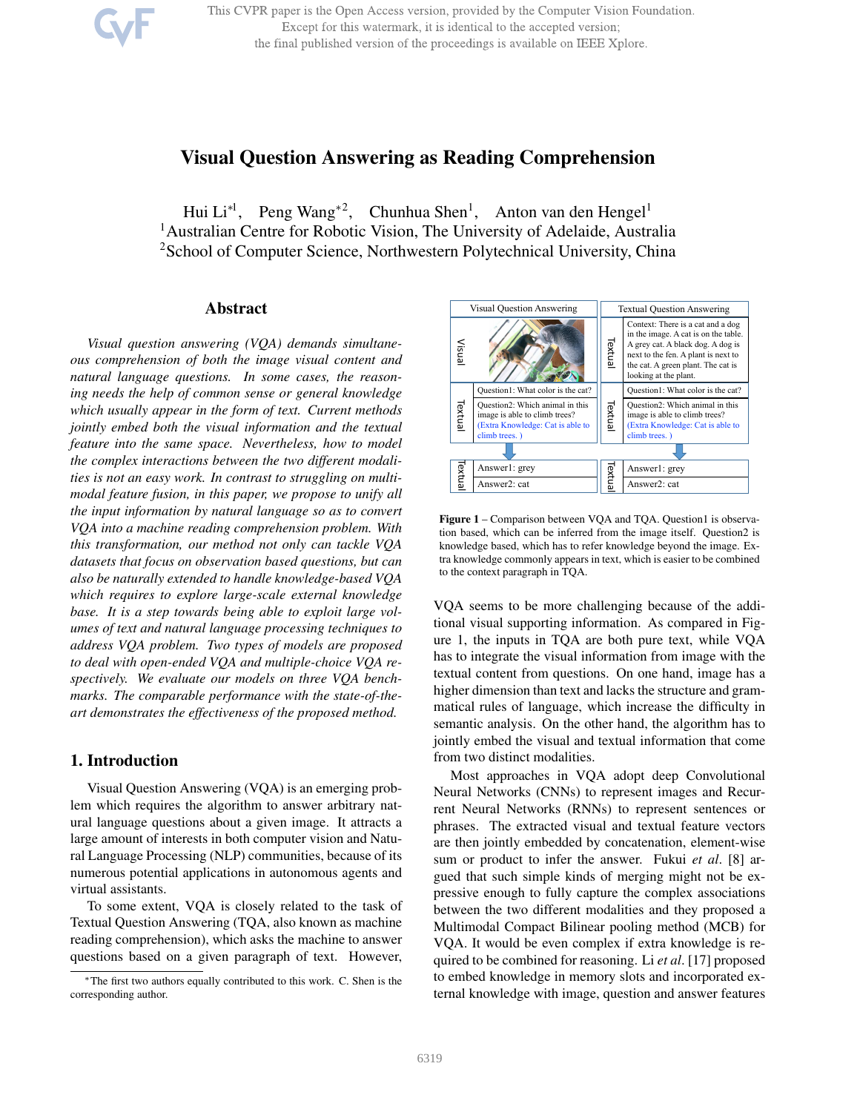This CVPR paper is the Open Access version, provided by the Computer Vision Foundation. Except for this watermark, it is identical to the accepted version; the final published version of the proceedings is available on IEEE Xplore.

# Visual Question Answering as Reading Comprehension

Hui Li<sup>\*1</sup>, Peng Wang<sup>\*2</sup>, Chunhua Shen<sup>1</sup>, Anton van den Hengel<sup>1</sup> <sup>1</sup> Australian Centre for Robotic Vision, The University of Adelaide, Australia <sup>2</sup>School of Computer Science, Northwestern Polytechnical University, China

## Abstract

*Visual question answering (VQA) demands simultaneous comprehension of both the image visual content and natural language questions. In some cases, the reasoning needs the help of common sense or general knowledge which usually appear in the form of text. Current methods jointly embed both the visual information and the textual feature into the same space. Nevertheless, how to model the complex interactions between the two different modalities is not an easy work. In contrast to struggling on multimodal feature fusion, in this paper, we propose to unify all the input information by natural language so as to convert VQA into a machine reading comprehension problem. With this transformation, our method not only can tackle VQA datasets that focus on observation based questions, but can also be naturally extended to handle knowledge-based VQA which requires to explore large-scale external knowledge base. It is a step towards being able to exploit large volumes of text and natural language processing techniques to address VQA problem. Two types of models are proposed to deal with open-ended VQA and multiple-choice VQA respectively. We evaluate our models on three VQA benchmarks. The comparable performance with the state-of-theart demonstrates the effectiveness of the proposed method.*

## 1. Introduction

Visual Question Answering (VQA) is an emerging problem which requires the algorithm to answer arbitrary natural language questions about a given image. It attracts a large amount of interests in both computer vision and Natural Language Processing (NLP) communities, because of its numerous potential applications in autonomous agents and virtual assistants.

To some extent, VQA is closely related to the task of Textual Question Answering (TQA, also known as machine reading comprehension), which asks the machine to answer questions based on a given paragraph of text. However,



Figure 1 – Comparison between VQA and TQA. Question1 is observation based, which can be inferred from the image itself. Question2 is knowledge based, which has to refer knowledge beyond the image. Extra knowledge commonly appears in text, which is easier to be combined to the context paragraph in TQA.

VQA seems to be more challenging because of the additional visual supporting information. As compared in Figure 1, the inputs in TQA are both pure text, while VQA has to integrate the visual information from image with the textual content from questions. On one hand, image has a higher dimension than text and lacks the structure and grammatical rules of language, which increase the difficulty in semantic analysis. On the other hand, the algorithm has to jointly embed the visual and textual information that come from two distinct modalities.

Most approaches in VQA adopt deep Convolutional Neural Networks (CNNs) to represent images and Recurrent Neural Networks (RNNs) to represent sentences or phrases. The extracted visual and textual feature vectors are then jointly embedded by concatenation, element-wise sum or product to infer the answer. Fukui *et al*. [8] argued that such simple kinds of merging might not be expressive enough to fully capture the complex associations between the two different modalities and they proposed a Multimodal Compact Bilinear pooling method (MCB) for VQA. It would be even complex if extra knowledge is required to be combined for reasoning. Li *et al*. [17] proposed to embed knowledge in memory slots and incorporated external knowledge with image, question and answer features

<sup>∗</sup>The first two authors equally contributed to this work. C. Shen is the corresponding author.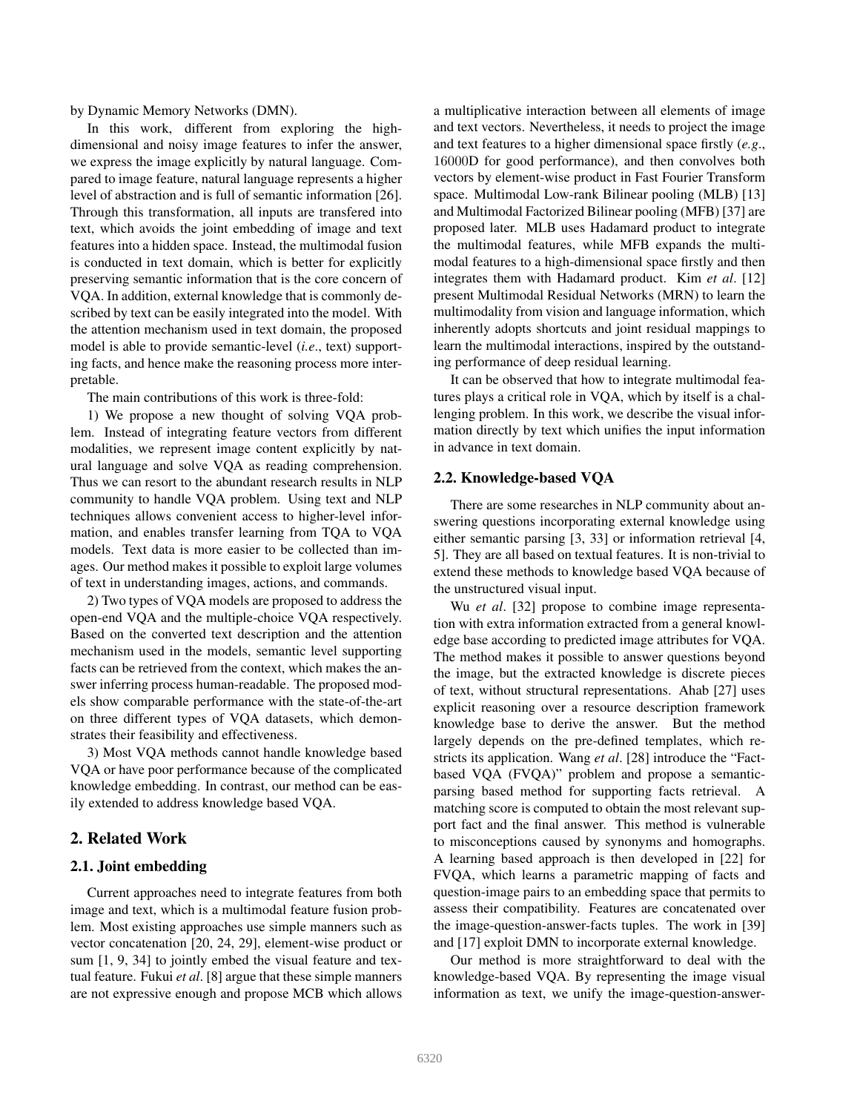by Dynamic Memory Networks (DMN).

In this work, different from exploring the highdimensional and noisy image features to infer the answer, we express the image explicitly by natural language. Compared to image feature, natural language represents a higher level of abstraction and is full of semantic information [26]. Through this transformation, all inputs are transfered into text, which avoids the joint embedding of image and text features into a hidden space. Instead, the multimodal fusion is conducted in text domain, which is better for explicitly preserving semantic information that is the core concern of VQA. In addition, external knowledge that is commonly described by text can be easily integrated into the model. With the attention mechanism used in text domain, the proposed model is able to provide semantic-level (*i.e*., text) supporting facts, and hence make the reasoning process more interpretable.

The main contributions of this work is three-fold:

1) We propose a new thought of solving VQA problem. Instead of integrating feature vectors from different modalities, we represent image content explicitly by natural language and solve VQA as reading comprehension. Thus we can resort to the abundant research results in NLP community to handle VQA problem. Using text and NLP techniques allows convenient access to higher-level information, and enables transfer learning from TQA to VQA models. Text data is more easier to be collected than images. Our method makes it possible to exploit large volumes of text in understanding images, actions, and commands.

2) Two types of VQA models are proposed to address the open-end VQA and the multiple-choice VQA respectively. Based on the converted text description and the attention mechanism used in the models, semantic level supporting facts can be retrieved from the context, which makes the answer inferring process human-readable. The proposed models show comparable performance with the state-of-the-art on three different types of VQA datasets, which demonstrates their feasibility and effectiveness.

3) Most VQA methods cannot handle knowledge based VQA or have poor performance because of the complicated knowledge embedding. In contrast, our method can be easily extended to address knowledge based VQA.

## 2. Related Work

#### 2.1. Joint embedding

Current approaches need to integrate features from both image and text, which is a multimodal feature fusion problem. Most existing approaches use simple manners such as vector concatenation [20, 24, 29], element-wise product or sum [1, 9, 34] to jointly embed the visual feature and textual feature. Fukui *et al*. [8] argue that these simple manners are not expressive enough and propose MCB which allows

a multiplicative interaction between all elements of image and text vectors. Nevertheless, it needs to project the image and text features to a higher dimensional space firstly (*e.g*., 16000D for good performance), and then convolves both vectors by element-wise product in Fast Fourier Transform space. Multimodal Low-rank Bilinear pooling (MLB) [13] and Multimodal Factorized Bilinear pooling (MFB) [37] are proposed later. MLB uses Hadamard product to integrate the multimodal features, while MFB expands the multimodal features to a high-dimensional space firstly and then integrates them with Hadamard product. Kim *et al*. [12] present Multimodal Residual Networks (MRN) to learn the multimodality from vision and language information, which inherently adopts shortcuts and joint residual mappings to learn the multimodal interactions, inspired by the outstanding performance of deep residual learning.

It can be observed that how to integrate multimodal features plays a critical role in VQA, which by itself is a challenging problem. In this work, we describe the visual information directly by text which unifies the input information in advance in text domain.

### 2.2. Knowledge-based VQA

There are some researches in NLP community about answering questions incorporating external knowledge using either semantic parsing [3, 33] or information retrieval [4, 5]. They are all based on textual features. It is non-trivial to extend these methods to knowledge based VQA because of the unstructured visual input.

Wu *et al*. [32] propose to combine image representation with extra information extracted from a general knowledge base according to predicted image attributes for VQA. The method makes it possible to answer questions beyond the image, but the extracted knowledge is discrete pieces of text, without structural representations. Ahab [27] uses explicit reasoning over a resource description framework knowledge base to derive the answer. But the method largely depends on the pre-defined templates, which restricts its application. Wang *et al*. [28] introduce the "Factbased VQA (FVQA)" problem and propose a semanticparsing based method for supporting facts retrieval. A matching score is computed to obtain the most relevant support fact and the final answer. This method is vulnerable to misconceptions caused by synonyms and homographs. A learning based approach is then developed in [22] for FVQA, which learns a parametric mapping of facts and question-image pairs to an embedding space that permits to assess their compatibility. Features are concatenated over the image-question-answer-facts tuples. The work in [39] and [17] exploit DMN to incorporate external knowledge.

Our method is more straightforward to deal with the knowledge-based VQA. By representing the image visual information as text, we unify the image-question-answer-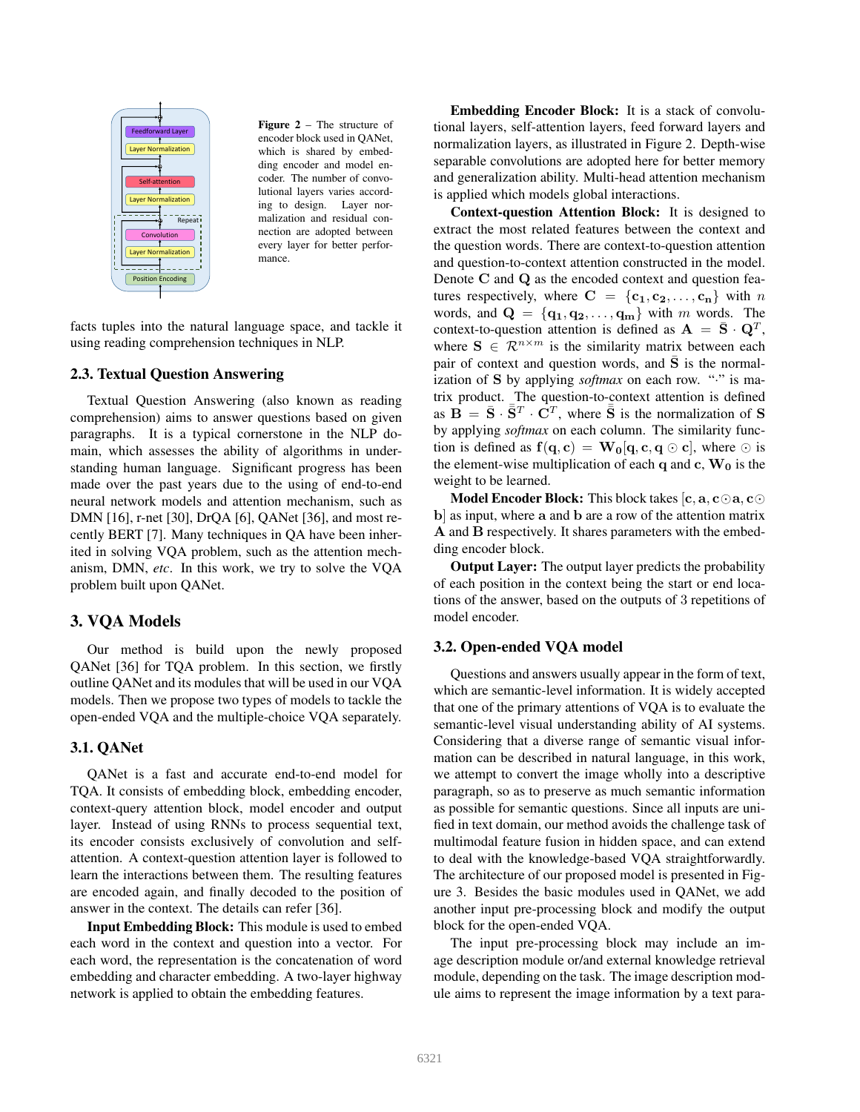

Figure 2 – The structure of encoder block used in QANet, which is shared by embedding encoder and model encoder. The number of convolutional layers varies according to design. Layer normalization and residual connection are adopted between every layer for better performance.

facts tuples into the natural language space, and tackle it using reading comprehension techniques in NLP.

#### 2.3. Textual Question Answering

Textual Question Answering (also known as reading comprehension) aims to answer questions based on given paragraphs. It is a typical cornerstone in the NLP domain, which assesses the ability of algorithms in understanding human language. Significant progress has been made over the past years due to the using of end-to-end neural network models and attention mechanism, such as DMN [16], r-net [30], DrQA [6], QANet [36], and most recently BERT [7]. Many techniques in QA have been inherited in solving VQA problem, such as the attention mechanism, DMN, *etc*. In this work, we try to solve the VQA problem built upon QANet.

### 3. VQA Models

Our method is build upon the newly proposed QANet [36] for TQA problem. In this section, we firstly outline QANet and its modules that will be used in our VQA models. Then we propose two types of models to tackle the open-ended VQA and the multiple-choice VQA separately.

### 3.1. QANet

QANet is a fast and accurate end-to-end model for TQA. It consists of embedding block, embedding encoder, context-query attention block, model encoder and output layer. Instead of using RNNs to process sequential text, its encoder consists exclusively of convolution and selfattention. A context-question attention layer is followed to learn the interactions between them. The resulting features are encoded again, and finally decoded to the position of answer in the context. The details can refer [36].

Input Embedding Block: This module is used to embed each word in the context and question into a vector. For each word, the representation is the concatenation of word embedding and character embedding. A two-layer highway network is applied to obtain the embedding features.

Embedding Encoder Block: It is a stack of convolutional layers, self-attention layers, feed forward layers and normalization layers, as illustrated in Figure 2. Depth-wise separable convolutions are adopted here for better memory and generalization ability. Multi-head attention mechanism is applied which models global interactions.

Context-question Attention Block: It is designed to extract the most related features between the context and the question words. There are context-to-question attention and question-to-context attention constructed in the model. Denote C and Q as the encoded context and question features respectively, where  $C = \{c_1, c_2, ..., c_n\}$  with n words, and  $\mathbf{Q} = \{q_1, q_2, \dots, q_m\}$  with m words. The context-to-question attention is defined as  $\mathbf{A} = \bar{\mathbf{S}} \cdot \mathbf{Q}^T$ , where  $S \in \mathbb{R}^{n \times m}$  is the similarity matrix between each pair of context and question words, and  $\overline{S}$  is the normalization of S by applying *softmax* on each row. "." is matrix product. The question-to-context attention is defined as  $\overrightarrow{B} = \overrightarrow{S} \cdot \overrightarrow{S}^T \cdot \overrightarrow{C}^T$ , where  $\overrightarrow{S}$  is the normalization of S by applying *softmax* on each column. The similarity function is defined as  $f(q, c) = W_0[q, c, q \odot c]$ , where  $\odot$  is the element-wise multiplication of each q and  $c, W_0$  is the weight to be learned.

**Model Encoder Block:** This block takes  $[c, a, c \odot a, c \odot c]$ b] as input, where a and b are a row of the attention matrix A and B respectively. It shares parameters with the embedding encoder block.

Output Layer: The output layer predicts the probability of each position in the context being the start or end locations of the answer, based on the outputs of 3 repetitions of model encoder.

### 3.2. Open-ended VQA model

Questions and answers usually appear in the form of text, which are semantic-level information. It is widely accepted that one of the primary attentions of VQA is to evaluate the semantic-level visual understanding ability of AI systems. Considering that a diverse range of semantic visual information can be described in natural language, in this work, we attempt to convert the image wholly into a descriptive paragraph, so as to preserve as much semantic information as possible for semantic questions. Since all inputs are unified in text domain, our method avoids the challenge task of multimodal feature fusion in hidden space, and can extend to deal with the knowledge-based VQA straightforwardly. The architecture of our proposed model is presented in Figure 3. Besides the basic modules used in QANet, we add another input pre-processing block and modify the output block for the open-ended VQA.

The input pre-processing block may include an image description module or/and external knowledge retrieval module, depending on the task. The image description module aims to represent the image information by a text para-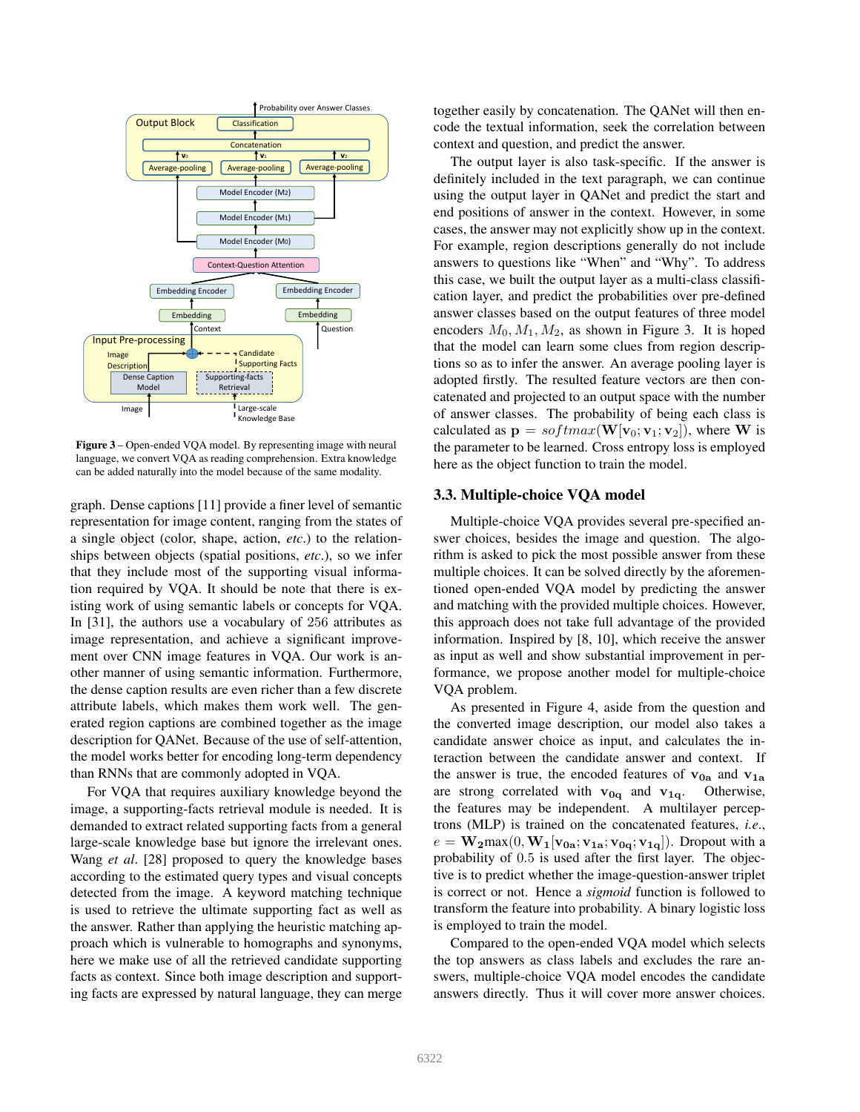

Figure 3 – Open-ended VQA model. By representing image with neural language, we convert VQA as reading comprehension. Extra knowledge can be added naturally into the model because of the same modality.

graph. Dense captions [11] provide a finer level of semantic representation for image content, ranging from the states of a single object (color, shape, action, *etc*.) to the relationships between objects (spatial positions, *etc*.), so we infer that they include most of the supporting visual information required by VQA. It should be note that there is existing work of using semantic labels or concepts for VQA. In [31], the authors use a vocabulary of 256 attributes as image representation, and achieve a significant improvement over CNN image features in VQA. Our work is another manner of using semantic information. Furthermore, the dense caption results are even richer than a few discrete attribute labels, which makes them work well. The generated region captions are combined together as the image description for QANet. Because of the use of self-attention, the model works better for encoding long-term dependency than RNNs that are commonly adopted in VQA.

For VQA that requires auxiliary knowledge beyond the image, a supporting-facts retrieval module is needed. It is demanded to extract related supporting facts from a general large-scale knowledge base but ignore the irrelevant ones. Wang *et al*. [28] proposed to query the knowledge bases according to the estimated query types and visual concepts detected from the image. A keyword matching technique is used to retrieve the ultimate supporting fact as well as the answer. Rather than applying the heuristic matching approach which is vulnerable to homographs and synonyms, here we make use of all the retrieved candidate supporting facts as context. Since both image description and supporting facts are expressed by natural language, they can merge together easily by concatenation. The QANet will then encode the textual information, seek the correlation between context and question, and predict the answer.

The output layer is also task-specific. If the answer is definitely included in the text paragraph, we can continue using the output layer in QANet and predict the start and end positions of answer in the context. However, in some cases, the answer may not explicitly show up in the context. For example, region descriptions generally do not include answers to questions like "When" and "Why". To address this case, we built the output layer as a multi-class classification layer, and predict the probabilities over pre-defined answer classes based on the output features of three model encoders  $M_0, M_1, M_2$ , as shown in Figure 3. It is hoped that the model can learn some clues from region descriptions so as to infer the answer. An average pooling layer is adopted firstly. The resulted feature vectors are then concatenated and projected to an output space with the number of answer classes. The probability of being each class is calculated as  $\mathbf{p} = softmax(\mathbf{W}[\mathbf{v}_0; \mathbf{v}_1; \mathbf{v}_2])$ , where **W** is the parameter to be learned. Cross entropy loss is employed here as the object function to train the model.

#### 3.3. Multiple-choice VQA model

Multiple-choice VQA provides several pre-specified answer choices, besides the image and question. The algorithm is asked to pick the most possible answer from these multiple choices. It can be solved directly by the aforementioned open-ended VQA model by predicting the answer and matching with the provided multiple choices. However, this approach does not take full advantage of the provided information. Inspired by [8, 10], which receive the answer as input as well and show substantial improvement in performance, we propose another model for multiple-choice VQA problem.

As presented in Figure 4, aside from the question and the converted image description, our model also takes a candidate answer choice as input, and calculates the interaction between the candidate answer and context. If the answer is true, the encoded features of  $v_{0a}$  and  $v_{1a}$ are strong correlated with  $v_{0q}$  and  $v_{1q}$ . Otherwise, the features may be independent. A multilayer perceptrons (MLP) is trained on the concatenated features, *i.e*.,  $e = \mathbf{W_2} \max(0, \mathbf{W_1}[\mathbf{v_{0a}}; \mathbf{v_{1a}}; \mathbf{v_{0q}}; \mathbf{v_{1q}}])$ . Dropout with a probability of 0.5 is used after the first layer. The objective is to predict whether the image-question-answer triplet is correct or not. Hence a *sigmoid* function is followed to transform the feature into probability. A binary logistic loss is employed to train the model.

Compared to the open-ended VQA model which selects the top answers as class labels and excludes the rare answers, multiple-choice VQA model encodes the candidate answers directly. Thus it will cover more answer choices.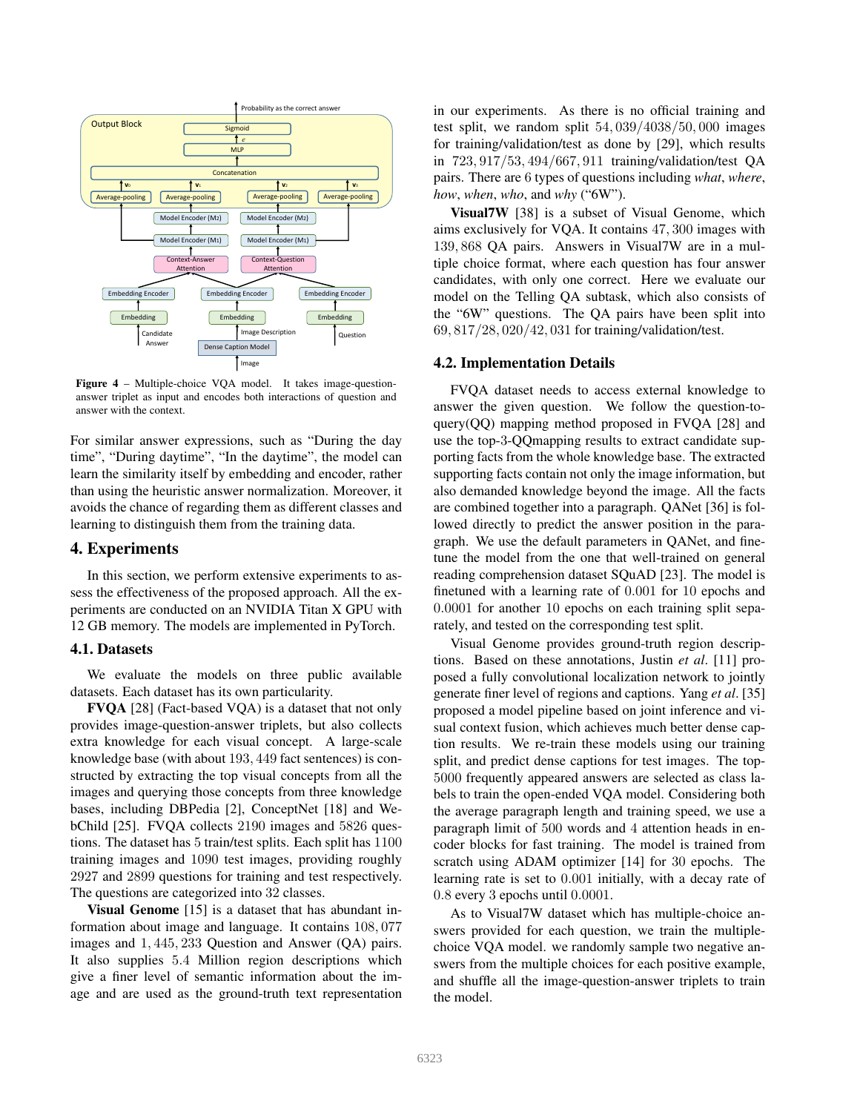

Figure 4 – Multiple-choice VQA model. It takes image-questionanswer triplet as input and encodes both interactions of question and answer with the context.

For similar answer expressions, such as "During the day time", "During daytime", "In the daytime", the model can learn the similarity itself by embedding and encoder, rather than using the heuristic answer normalization. Moreover, it avoids the chance of regarding them as different classes and learning to distinguish them from the training data.

## 4. Experiments

In this section, we perform extensive experiments to assess the effectiveness of the proposed approach. All the experiments are conducted on an NVIDIA Titan X GPU with 12 GB memory. The models are implemented in PyTorch.

#### 4.1. Datasets

We evaluate the models on three public available datasets. Each dataset has its own particularity.

FVQA [28] (Fact-based VQA) is a dataset that not only provides image-question-answer triplets, but also collects extra knowledge for each visual concept. A large-scale knowledge base (with about 193, 449 fact sentences) is constructed by extracting the top visual concepts from all the images and querying those concepts from three knowledge bases, including DBPedia [2], ConceptNet [18] and WebChild [25]. FVQA collects 2190 images and 5826 questions. The dataset has 5 train/test splits. Each split has 1100 training images and 1090 test images, providing roughly 2927 and 2899 questions for training and test respectively. The questions are categorized into 32 classes.

Visual Genome [15] is a dataset that has abundant information about image and language. It contains 108, 077 images and 1, 445, 233 Question and Answer (QA) pairs. It also supplies 5.4 Million region descriptions which give a finer level of semantic information about the image and are used as the ground-truth text representation in our experiments. As there is no official training and test split, we random split 54, 039/4038/50, 000 images for training/validation/test as done by [29], which results in 723, 917/53, 494/667, 911 training/validation/test QA pairs. There are 6 types of questions including *what*, *where*, *how*, *when*, *who*, and *why* ("6W").

Visual7W [38] is a subset of Visual Genome, which aims exclusively for VQA. It contains 47, 300 images with 139, 868 QA pairs. Answers in Visual7W are in a multiple choice format, where each question has four answer candidates, with only one correct. Here we evaluate our model on the Telling QA subtask, which also consists of the "6W" questions. The QA pairs have been split into 69, 817/28, 020/42, 031 for training/validation/test.

#### 4.2. Implementation Details

FVQA dataset needs to access external knowledge to answer the given question. We follow the question-toquery(QQ) mapping method proposed in FVQA [28] and use the top-3-QQmapping results to extract candidate supporting facts from the whole knowledge base. The extracted supporting facts contain not only the image information, but also demanded knowledge beyond the image. All the facts are combined together into a paragraph. QANet [36] is followed directly to predict the answer position in the paragraph. We use the default parameters in QANet, and finetune the model from the one that well-trained on general reading comprehension dataset SQuAD [23]. The model is finetuned with a learning rate of 0.001 for 10 epochs and 0.0001 for another 10 epochs on each training split separately, and tested on the corresponding test split.

Visual Genome provides ground-truth region descriptions. Based on these annotations, Justin *et al*. [11] proposed a fully convolutional localization network to jointly generate finer level of regions and captions. Yang *et al*. [35] proposed a model pipeline based on joint inference and visual context fusion, which achieves much better dense caption results. We re-train these models using our training split, and predict dense captions for test images. The top-5000 frequently appeared answers are selected as class labels to train the open-ended VQA model. Considering both the average paragraph length and training speed, we use a paragraph limit of 500 words and 4 attention heads in encoder blocks for fast training. The model is trained from scratch using ADAM optimizer [14] for 30 epochs. The learning rate is set to 0.001 initially, with a decay rate of 0.8 every 3 epochs until 0.0001.

As to Visual7W dataset which has multiple-choice answers provided for each question, we train the multiplechoice VQA model. we randomly sample two negative answers from the multiple choices for each positive example, and shuffle all the image-question-answer triplets to train the model.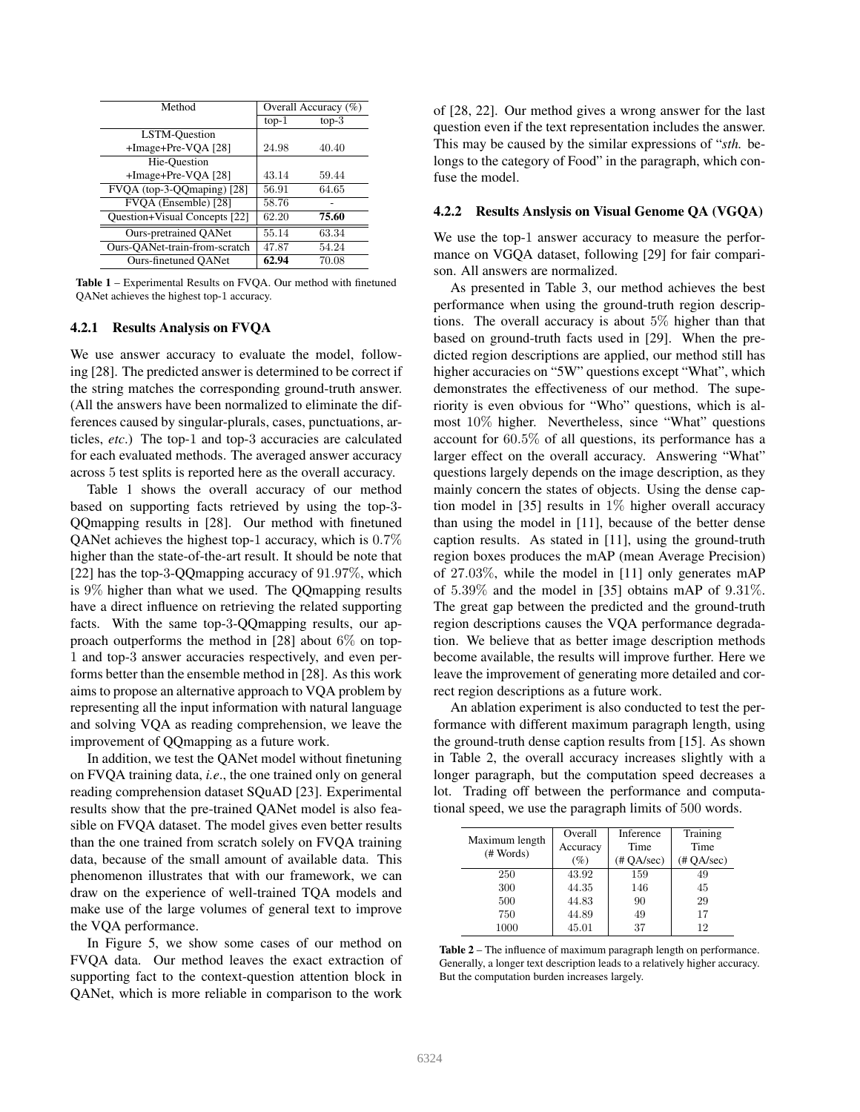| Method                        | Overall Accuracy (%) |         |  |
|-------------------------------|----------------------|---------|--|
|                               | $top-1$              | $top-3$ |  |
| <b>LSTM-Ouestion</b>          |                      |         |  |
| +Image+Pre-VQA [28]           | 24.98                | 40.40   |  |
| Hie-Ouestion                  |                      |         |  |
| +Image+Pre-VQA [28]           | 43.14                | 59.44   |  |
| FVQA (top-3-QQmaping) [28]    | 56.91                | 64.65   |  |
| FVOA (Ensemble) [28]          | 58.76                |         |  |
| Question+Visual Concepts [22] | 62.20                | 75.60   |  |
| <b>Ours-pretrained QANet</b>  | 55.14                | 63.34   |  |
| Ours-OANet-train-from-scratch | 47.87                | 54.24   |  |
| Ours-finetuned OANet          | 62.94                | 70.08   |  |

Table 1 – Experimental Results on FVQA. Our method with finetuned QANet achieves the highest top-1 accuracy.

#### 4.2.1 Results Analysis on FVQA

We use answer accuracy to evaluate the model, following [28]. The predicted answer is determined to be correct if the string matches the corresponding ground-truth answer. (All the answers have been normalized to eliminate the differences caused by singular-plurals, cases, punctuations, articles, *etc*.) The top-1 and top-3 accuracies are calculated for each evaluated methods. The averaged answer accuracy across 5 test splits is reported here as the overall accuracy.

Table 1 shows the overall accuracy of our method based on supporting facts retrieved by using the top-3- QQmapping results in [28]. Our method with finetuned QANet achieves the highest top-1 accuracy, which is 0.7% higher than the state-of-the-art result. It should be note that [22] has the top-3-QQmapping accuracy of 91.97%, which is 9% higher than what we used. The QQmapping results have a direct influence on retrieving the related supporting facts. With the same top-3-QQmapping results, our approach outperforms the method in [28] about  $6\%$  on top-1 and top-3 answer accuracies respectively, and even performs better than the ensemble method in [28]. As this work aims to propose an alternative approach to VQA problem by representing all the input information with natural language and solving VQA as reading comprehension, we leave the improvement of QQmapping as a future work.

In addition, we test the QANet model without finetuning on FVQA training data, *i.e*., the one trained only on general reading comprehension dataset SQuAD [23]. Experimental results show that the pre-trained QANet model is also feasible on FVQA dataset. The model gives even better results than the one trained from scratch solely on FVQA training data, because of the small amount of available data. This phenomenon illustrates that with our framework, we can draw on the experience of well-trained TQA models and make use of the large volumes of general text to improve the VQA performance.

In Figure 5, we show some cases of our method on FVQA data. Our method leaves the exact extraction of supporting fact to the context-question attention block in QANet, which is more reliable in comparison to the work of [28, 22]. Our method gives a wrong answer for the last question even if the text representation includes the answer. This may be caused by the similar expressions of "*sth.* belongs to the category of Food" in the paragraph, which confuse the model.

#### 4.2.2 Results Anslysis on Visual Genome QA (VGQA)

We use the top-1 answer accuracy to measure the performance on VGQA dataset, following [29] for fair comparison. All answers are normalized.

As presented in Table 3, our method achieves the best performance when using the ground-truth region descriptions. The overall accuracy is about 5% higher than that based on ground-truth facts used in [29]. When the predicted region descriptions are applied, our method still has higher accuracies on "5W" questions except "What", which demonstrates the effectiveness of our method. The superiority is even obvious for "Who" questions, which is almost 10% higher. Nevertheless, since "What" questions account for 60.5% of all questions, its performance has a larger effect on the overall accuracy. Answering "What" questions largely depends on the image description, as they mainly concern the states of objects. Using the dense caption model in [35] results in 1% higher overall accuracy than using the model in [11], because of the better dense caption results. As stated in [11], using the ground-truth region boxes produces the mAP (mean Average Precision) of 27.03%, while the model in [11] only generates mAP of 5.39% and the model in [35] obtains mAP of 9.31%. The great gap between the predicted and the ground-truth region descriptions causes the VQA performance degradation. We believe that as better image description methods become available, the results will improve further. Here we leave the improvement of generating more detailed and correct region descriptions as a future work.

An ablation experiment is also conducted to test the performance with different maximum paragraph length, using the ground-truth dense caption results from [15]. As shown in Table 2, the overall accuracy increases slightly with a longer paragraph, but the computation speed decreases a lot. Trading off between the performance and computational speed, we use the paragraph limits of 500 words.

| Maximum length<br># Words) | Overall<br>Accuracy<br>$(\%)$ | Inference<br>Time<br>$(\text{\# OA/sec})$ | Training<br>Time<br>$(\# QA/sec)$ |  |
|----------------------------|-------------------------------|-------------------------------------------|-----------------------------------|--|
| 250                        | 43.92                         | 159                                       | 49                                |  |
| 300                        | 44.35                         | 146                                       | 45                                |  |
| 500                        | 44.83                         | 90                                        | 29                                |  |
| 750                        | 44.89                         | 49                                        | 17                                |  |
| 1000                       | 45.01                         | 37                                        | 12                                |  |

Table 2 – The influence of maximum paragraph length on performance. Generally, a longer text description leads to a relatively higher accuracy. But the computation burden increases largely.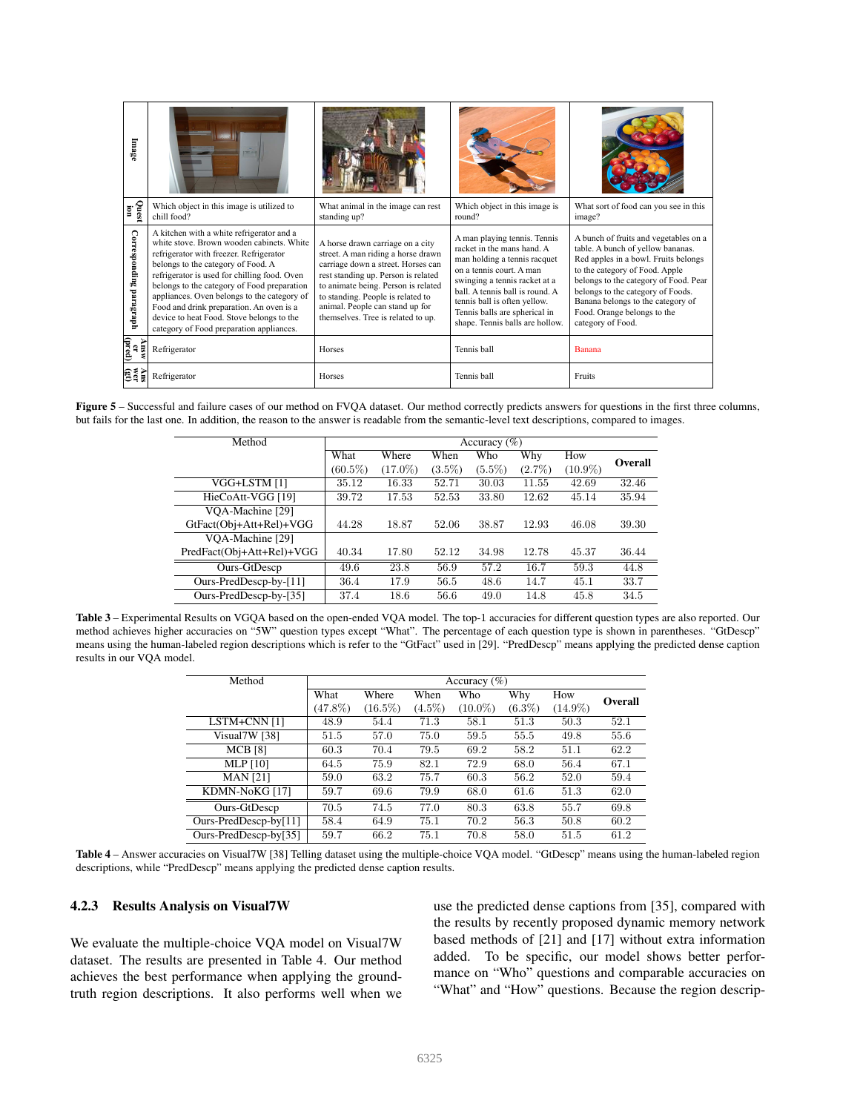| Image                          |                                                                                                                                                                                                                                                                                                                                                                                                                                                          |                                                                                                                                                                                                                                                                                                          |                                                                                                                                                                                                                                                                                             |                                                                                                                                                                                                                                                                                                                             |
|--------------------------------|----------------------------------------------------------------------------------------------------------------------------------------------------------------------------------------------------------------------------------------------------------------------------------------------------------------------------------------------------------------------------------------------------------------------------------------------------------|----------------------------------------------------------------------------------------------------------------------------------------------------------------------------------------------------------------------------------------------------------------------------------------------------------|---------------------------------------------------------------------------------------------------------------------------------------------------------------------------------------------------------------------------------------------------------------------------------------------|-----------------------------------------------------------------------------------------------------------------------------------------------------------------------------------------------------------------------------------------------------------------------------------------------------------------------------|
| Quest<br>Lion                  | Which object in this image is utilized to<br>chill food?                                                                                                                                                                                                                                                                                                                                                                                                 | What animal in the image can rest<br>standing up?                                                                                                                                                                                                                                                        | Which object in this image is<br>round?                                                                                                                                                                                                                                                     | What sort of food can you see in this<br>image?                                                                                                                                                                                                                                                                             |
| Corresponding paragraph        | A kitchen with a white refrigerator and a<br>white stove Brown wooden cabinets White<br>refrigerator with freezer. Refrigerator<br>belongs to the category of Food. A<br>refrigerator is used for chilling food. Oven<br>belongs to the category of Food preparation<br>appliances. Oven belongs to the category of<br>Food and drink preparation. An oven is a<br>device to heat Food. Stove belongs to the<br>category of Food preparation appliances. | A horse drawn carriage on a city<br>street. A man riding a horse drawn<br>carriage down a street. Horses can<br>rest standing up. Person is related<br>to animate being. Person is related<br>to standing. People is related to<br>animal. People can stand up for<br>themselves. Tree is related to up. | A man playing tennis. Tennis<br>racket in the mans hand A<br>man holding a tennis racquet<br>on a tennis court. A man<br>swinging a tennis racket at a<br>ball A tennis ball is round A<br>tennis ball is often yellow.<br>Tennis balls are spherical in<br>shape. Tennis balls are hollow. | A bunch of fruits and vegetables on a<br>table. A bunch of yellow bananas.<br>Red apples in a bowl. Fruits belongs<br>to the category of Food. Apple<br>belongs to the category of Food. Pear<br>belongs to the category of Foods.<br>Banana belongs to the category of<br>Food. Orange belongs to the<br>category of Food. |
| (pred)<br>Answ<br>$\mathbf{r}$ | Refrigerator                                                                                                                                                                                                                                                                                                                                                                                                                                             | <b>Horses</b>                                                                                                                                                                                                                                                                                            | Tennis ball                                                                                                                                                                                                                                                                                 | Banana                                                                                                                                                                                                                                                                                                                      |
| មិនី<br>ត្រូវ                  | Refrigerator                                                                                                                                                                                                                                                                                                                                                                                                                                             | <b>Horses</b>                                                                                                                                                                                                                                                                                            | Tennis ball                                                                                                                                                                                                                                                                                 | Fruits                                                                                                                                                                                                                                                                                                                      |

Figure 5 – Successful and failure cases of our method on FVQA dataset. Our method correctly predicts answers for questions in the first three columns, but fails for the last one. In addition, the reason to the answer is readable from the semantic-level text descriptions, compared to images.

| Method                    | Accuracy $(\% )$ |            |           |           |           |            |         |
|---------------------------|------------------|------------|-----------|-----------|-----------|------------|---------|
|                           | What             | Where      | When      | Who       | Why       | How        | Overall |
|                           | $(60.5\%)$       | $(17.0\%)$ | $(3.5\%)$ | $(5.5\%)$ | $(2.7\%)$ | $(10.9\%)$ |         |
| VGG+LSTM [1]              | 35.12            | 16.33      | 52.71     | 30.03     | 11.55     | 42.69      | 32.46   |
| HieCoAtt-VGG [19]         | 39.72            | 17.53      | 52.53     | 33.80     | 12.62     | 45.14      | 35.94   |
| VOA-Machine [29]          |                  |            |           |           |           |            |         |
| GtFact(Obj+Att+Rel)+VGG   | 44.28            | 18.87      | 52.06     | 38.87     | 12.93     | 46.08      | 39.30   |
| VOA-Machine [29]          |                  |            |           |           |           |            |         |
| PredFact(Obj+Att+Rel)+VGG | 40.34            | 17.80      | 52.12     | 34.98     | 12.78     | 45.37      | 36.44   |
| Ours-GtDescp              | 49.6             | 23.8       | 56.9      | 57.2      | 16.7      | 59.3       | 44.8    |
| Ours-PredDescp-by-[11]    | 36.4             | 17.9       | 56.5      | 48.6      | 14.7      | 45.1       | 33.7    |
| Ours-PredDescp-by-[35]    | 37.4             | 18.6       | 56.6      | 49.0      | 14.8      | 45.8       | 34.5    |

Table  $3$  – Experimental Results on VGQA based on the open-ended VQA model. The top-1 accuracies for different question types are also reported. Our method achieves higher accuracies on "5W" question types except "What". The percentage of each question type is shown in parentheses. "GtDescp" means using the human-labeled region descriptions which is refer to the "GtFact" used in [29]. "PredDescp" means applying the predicted dense caption results in our VQA model.

| Method                   | Accuracy $(\% )$ |            |           |            |           |            |         |
|--------------------------|------------------|------------|-----------|------------|-----------|------------|---------|
|                          | What             | Where      | When      | Who        | Why       | How        | Overall |
|                          | $(47.8\%)$       | $(16.5\%)$ | $(4.5\%)$ | $(10.0\%)$ | $(6.3\%)$ | $(14.9\%)$ |         |
| LSTM+CNN [1]             | 48.9             | 54.4       | 71.3      | 58.1       | 51.3      | 50.3       | 52.1    |
| Visual7W [38]            | 51.5             | 57.0       | 75.0      | 59.5       | 55.5      | 49.8       | 55.6    |
| <b>MCB</b> [8]           | 60.3             | 70.4       | 79.5      | 69.2       | 58.2      | 51.1       | 62.2    |
| <b>MLP</b> [10]          | 64.5             | 75.9       | 82.1      | 72.9       | 68.0      | 56.4       | 67.1    |
| <b>MAN</b> [21]          | 59.0             | 63.2       | 75.7      | 60.3       | 56.2      | 52.0       | 59.4    |
| KDMN-NoKG [17]           | 59.7             | 69.6       | 79.9      | 68.0       | 61.6      | 51.3       | 62.0    |
| Ours-GtDescp             | 70.5             | 74.5       | 77.0      | 80.3       | 63.8      | 55.7       | 69.8    |
| Ours-PredDescp-by $[11]$ | 58.4             | 64.9       | 75.1      | 70.2       | 56.3      | 50.8       | 60.2    |
| Ours-PredDescp-by $[35]$ | 59.7             | 66.2       | 75.1      | 70.8       | 58.0      | 51.5       | 61.2    |

Table 4 – Answer accuracies on Visual7W [38] Telling dataset using the multiple-choice VQA model. "GtDescp" means using the human-labeled region descriptions, while "PredDescp" means applying the predicted dense caption results.

#### 4.2.3 Results Analysis on Visual7W

We evaluate the multiple-choice VQA model on Visual7W dataset. The results are presented in Table 4. Our method achieves the best performance when applying the groundtruth region descriptions. It also performs well when we use the predicted dense captions from [35], compared with the results by recently proposed dynamic memory network based methods of [21] and [17] without extra information added. To be specific, our model shows better performance on "Who" questions and comparable accuracies on "What" and "How" questions. Because the region descrip-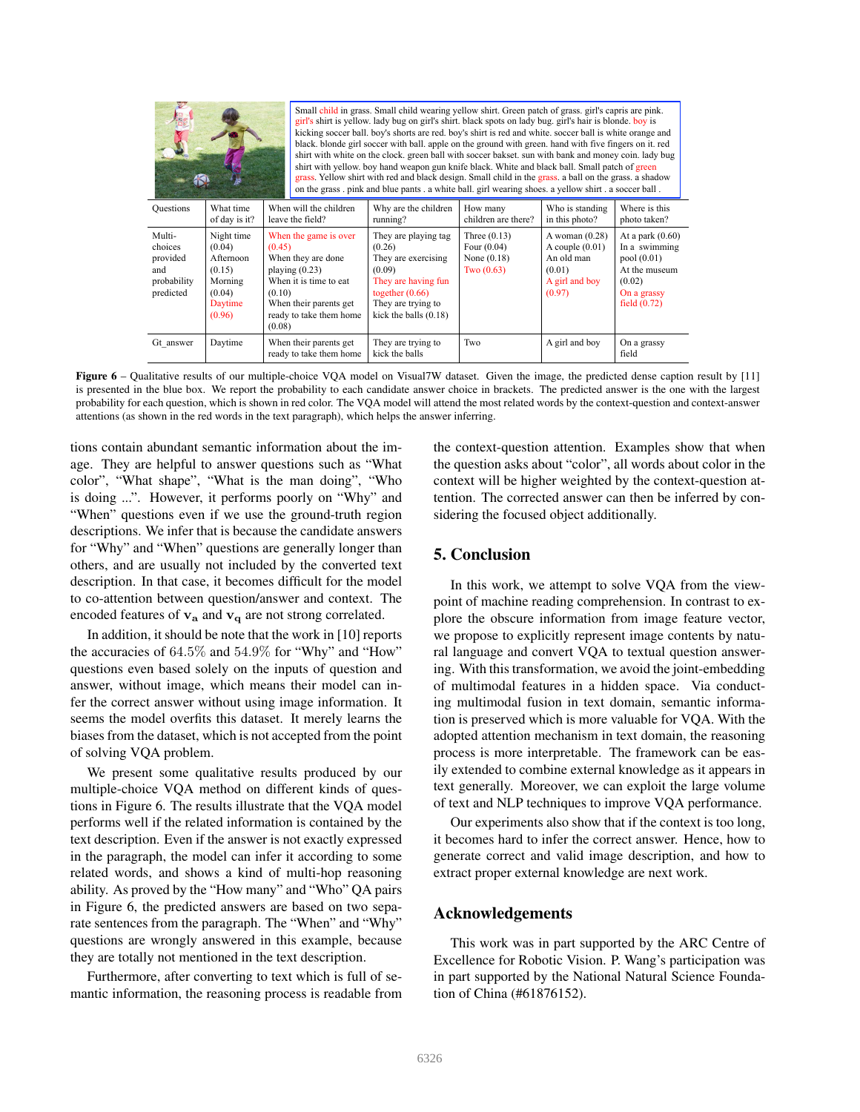| Small child in grass. Small child wearing yellow shirt. Green patch of grass, girl's capris are pink.<br>girl's shirt is yellow. lady bug on girl's shirt, black spots on lady bug, girl's hair is blonde, boy is<br>kicking soccer ball, boy's shorts are red, boy's shirt is red and white, soccer ball is white orange and<br>black, blonde girl soccer with ball, apple on the ground with green, hand with five fingers on it, red<br>shirt with white on the clock. green ball with soccer bakset, sun with bank and money coin. lady bug<br>shirt with yellow, boy hand weapon gun knife black. White and black ball. Small patch of green<br>grass. Yellow shirt with red and black design. Small child in the grass, a ball on the grass, a shadow<br>on the grass pink and blue pants a white ball, girl wearing shoes, a yellow shirt, a soccer ball. |                                                                                       |                                                |                                                                                                                            |                                                                                                                                                              |                                                                  |                                                                                           |                                                                                                               |
|------------------------------------------------------------------------------------------------------------------------------------------------------------------------------------------------------------------------------------------------------------------------------------------------------------------------------------------------------------------------------------------------------------------------------------------------------------------------------------------------------------------------------------------------------------------------------------------------------------------------------------------------------------------------------------------------------------------------------------------------------------------------------------------------------------------------------------------------------------------|---------------------------------------------------------------------------------------|------------------------------------------------|----------------------------------------------------------------------------------------------------------------------------|--------------------------------------------------------------------------------------------------------------------------------------------------------------|------------------------------------------------------------------|-------------------------------------------------------------------------------------------|---------------------------------------------------------------------------------------------------------------|
| <b>Questions</b>                                                                                                                                                                                                                                                                                                                                                                                                                                                                                                                                                                                                                                                                                                                                                                                                                                                 | What time<br>of day is it?                                                            | When will the children<br>leave the field?     |                                                                                                                            | Why are the children<br>running?                                                                                                                             | How many<br>children are there?                                  | Who is standing<br>in this photo?                                                         | Where is this<br>photo taken?                                                                                 |
| Multi-<br>choices<br>provided<br>and<br>probability<br>predicted                                                                                                                                                                                                                                                                                                                                                                                                                                                                                                                                                                                                                                                                                                                                                                                                 | Night time<br>(0.04)<br>Afternoon<br>(0.15)<br>Morning<br>(0.04)<br>Daytime<br>(0.96) | (0.45)<br>playing $(0.23)$<br>(0.10)<br>(0.08) | When the game is over<br>When they are done<br>When it is time to eat<br>When their parents get<br>ready to take them home | They are playing tag<br>(0.26)<br>They are exercising<br>(0.09)<br>They are having fun<br>together $(0.66)$<br>They are trying to<br>kick the balls $(0.18)$ | Three $(0.13)$<br>Four $(0.04)$<br>None $(0.18)$<br>Two $(0.63)$ | A woman $(0.28)$<br>A couple $(0.01)$<br>An old man<br>(0.01)<br>A girl and boy<br>(0.97) | At a park $(0.60)$<br>In a swimming<br>pool(0.01)<br>At the museum<br>(0.02)<br>On a grassy<br>field $(0.72)$ |
| Gt answer                                                                                                                                                                                                                                                                                                                                                                                                                                                                                                                                                                                                                                                                                                                                                                                                                                                        | Daytime                                                                               |                                                | When their parents get<br>ready to take them home                                                                          | They are trying to<br>kick the balls                                                                                                                         | Two                                                              | A girl and boy                                                                            | On a grassy<br>field                                                                                          |

Figure 6 – Qualitative results of our multiple-choice VQA model on Visual7W dataset. Given the image, the predicted dense caption result by [11] is presented in the blue box. We report the probability to each candidate answer choice in brackets. The predicted answer is the one with the largest probability for each question, which is shown in red color. The VQA model will attend the most related words by the context-question and context-answer attentions (as shown in the red words in the text paragraph), which helps the answer inferring.

tions contain abundant semantic information about the image. They are helpful to answer questions such as "What color", "What shape", "What is the man doing", "Who is doing ...". However, it performs poorly on "Why" and "When" questions even if we use the ground-truth region descriptions. We infer that is because the candidate answers for "Why" and "When" questions are generally longer than others, and are usually not included by the converted text description. In that case, it becomes difficult for the model to co-attention between question/answer and context. The encoded features of  $v_a$  and  $v_q$  are not strong correlated.

In addition, it should be note that the work in [10] reports the accuracies of 64.5% and 54.9% for "Why" and "How" questions even based solely on the inputs of question and answer, without image, which means their model can infer the correct answer without using image information. It seems the model overfits this dataset. It merely learns the biases from the dataset, which is not accepted from the point of solving VQA problem.

We present some qualitative results produced by our multiple-choice VQA method on different kinds of questions in Figure 6. The results illustrate that the VQA model performs well if the related information is contained by the text description. Even if the answer is not exactly expressed in the paragraph, the model can infer it according to some related words, and shows a kind of multi-hop reasoning ability. As proved by the "How many" and "Who" QA pairs in Figure 6, the predicted answers are based on two separate sentences from the paragraph. The "When" and "Why" questions are wrongly answered in this example, because they are totally not mentioned in the text description.

Furthermore, after converting to text which is full of semantic information, the reasoning process is readable from the context-question attention. Examples show that when the question asks about "color", all words about color in the context will be higher weighted by the context-question attention. The corrected answer can then be inferred by considering the focused object additionally.

## 5. Conclusion

In this work, we attempt to solve VQA from the viewpoint of machine reading comprehension. In contrast to explore the obscure information from image feature vector, we propose to explicitly represent image contents by natural language and convert VQA to textual question answering. With this transformation, we avoid the joint-embedding of multimodal features in a hidden space. Via conducting multimodal fusion in text domain, semantic information is preserved which is more valuable for VQA. With the adopted attention mechanism in text domain, the reasoning process is more interpretable. The framework can be easily extended to combine external knowledge as it appears in text generally. Moreover, we can exploit the large volume of text and NLP techniques to improve VQA performance.

Our experiments also show that if the context is too long, it becomes hard to infer the correct answer. Hence, how to generate correct and valid image description, and how to extract proper external knowledge are next work.

### Acknowledgements

This work was in part supported by the ARC Centre of Excellence for Robotic Vision. P. Wang's participation was in part supported by the National Natural Science Foundation of China (#61876152).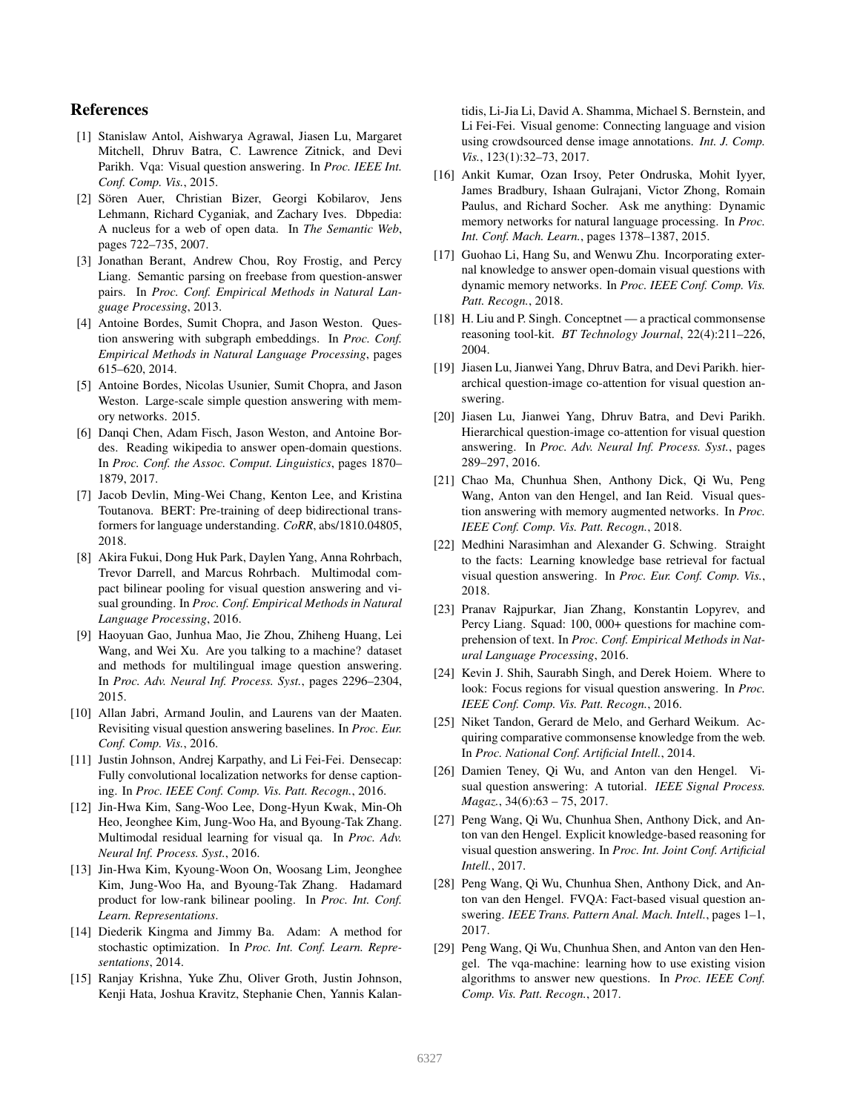## References

- [1] Stanislaw Antol, Aishwarya Agrawal, Jiasen Lu, Margaret Mitchell, Dhruv Batra, C. Lawrence Zitnick, and Devi Parikh. Vqa: Visual question answering. In *Proc. IEEE Int. Conf. Comp. Vis.*, 2015.
- [2] Sören Auer, Christian Bizer, Georgi Kobilarov, Jens Lehmann, Richard Cyganiak, and Zachary Ives. Dbpedia: A nucleus for a web of open data. In *The Semantic Web*, pages 722–735, 2007.
- [3] Jonathan Berant, Andrew Chou, Roy Frostig, and Percy Liang. Semantic parsing on freebase from question-answer pairs. In *Proc. Conf. Empirical Methods in Natural Language Processing*, 2013.
- [4] Antoine Bordes, Sumit Chopra, and Jason Weston. Question answering with subgraph embeddings. In *Proc. Conf. Empirical Methods in Natural Language Processing*, pages 615–620, 2014.
- [5] Antoine Bordes, Nicolas Usunier, Sumit Chopra, and Jason Weston. Large-scale simple question answering with memory networks. 2015.
- [6] Danqi Chen, Adam Fisch, Jason Weston, and Antoine Bordes. Reading wikipedia to answer open-domain questions. In *Proc. Conf. the Assoc. Comput. Linguistics*, pages 1870– 1879, 2017.
- [7] Jacob Devlin, Ming-Wei Chang, Kenton Lee, and Kristina Toutanova. BERT: Pre-training of deep bidirectional transformers for language understanding. *CoRR*, abs/1810.04805, 2018.
- [8] Akira Fukui, Dong Huk Park, Daylen Yang, Anna Rohrbach, Trevor Darrell, and Marcus Rohrbach. Multimodal compact bilinear pooling for visual question answering and visual grounding. In *Proc. Conf. Empirical Methods in Natural Language Processing*, 2016.
- [9] Haoyuan Gao, Junhua Mao, Jie Zhou, Zhiheng Huang, Lei Wang, and Wei Xu. Are you talking to a machine? dataset and methods for multilingual image question answering. In *Proc. Adv. Neural Inf. Process. Syst.*, pages 2296–2304, 2015.
- [10] Allan Jabri, Armand Joulin, and Laurens van der Maaten. Revisiting visual question answering baselines. In *Proc. Eur. Conf. Comp. Vis.*, 2016.
- [11] Justin Johnson, Andrej Karpathy, and Li Fei-Fei. Densecap: Fully convolutional localization networks for dense captioning. In *Proc. IEEE Conf. Comp. Vis. Patt. Recogn.*, 2016.
- [12] Jin-Hwa Kim, Sang-Woo Lee, Dong-Hyun Kwak, Min-Oh Heo, Jeonghee Kim, Jung-Woo Ha, and Byoung-Tak Zhang. Multimodal residual learning for visual qa. In *Proc. Adv. Neural Inf. Process. Syst.*, 2016.
- [13] Jin-Hwa Kim, Kyoung-Woon On, Woosang Lim, Jeonghee Kim, Jung-Woo Ha, and Byoung-Tak Zhang. Hadamard product for low-rank bilinear pooling. In *Proc. Int. Conf. Learn. Representations*.
- [14] Diederik Kingma and Jimmy Ba. Adam: A method for stochastic optimization. In *Proc. Int. Conf. Learn. Representations*, 2014.
- [15] Ranjay Krishna, Yuke Zhu, Oliver Groth, Justin Johnson, Kenji Hata, Joshua Kravitz, Stephanie Chen, Yannis Kalan-

tidis, Li-Jia Li, David A. Shamma, Michael S. Bernstein, and Li Fei-Fei. Visual genome: Connecting language and vision using crowdsourced dense image annotations. *Int. J. Comp. Vis.*, 123(1):32–73, 2017.

- [16] Ankit Kumar, Ozan Irsoy, Peter Ondruska, Mohit Iyyer, James Bradbury, Ishaan Gulrajani, Victor Zhong, Romain Paulus, and Richard Socher. Ask me anything: Dynamic memory networks for natural language processing. In *Proc. Int. Conf. Mach. Learn.*, pages 1378–1387, 2015.
- [17] Guohao Li, Hang Su, and Wenwu Zhu. Incorporating external knowledge to answer open-domain visual questions with dynamic memory networks. In *Proc. IEEE Conf. Comp. Vis. Patt. Recogn.*, 2018.
- [18] H. Liu and P. Singh. Conceptnet a practical commonsense reasoning tool-kit. *BT Technology Journal*, 22(4):211–226, 2004.
- [19] Jiasen Lu, Jianwei Yang, Dhruv Batra, and Devi Parikh. hierarchical question-image co-attention for visual question answering.
- [20] Jiasen Lu, Jianwei Yang, Dhruv Batra, and Devi Parikh. Hierarchical question-image co-attention for visual question answering. In *Proc. Adv. Neural Inf. Process. Syst.*, pages 289–297, 2016.
- [21] Chao Ma, Chunhua Shen, Anthony Dick, Qi Wu, Peng Wang, Anton van den Hengel, and Ian Reid. Visual question answering with memory augmented networks. In *Proc. IEEE Conf. Comp. Vis. Patt. Recogn.*, 2018.
- [22] Medhini Narasimhan and Alexander G. Schwing. Straight to the facts: Learning knowledge base retrieval for factual visual question answering. In *Proc. Eur. Conf. Comp. Vis.*, 2018.
- [23] Pranav Rajpurkar, Jian Zhang, Konstantin Lopyrev, and Percy Liang. Squad: 100, 000+ questions for machine comprehension of text. In *Proc. Conf. Empirical Methods in Natural Language Processing*, 2016.
- [24] Kevin J. Shih, Saurabh Singh, and Derek Hoiem. Where to look: Focus regions for visual question answering. In *Proc. IEEE Conf. Comp. Vis. Patt. Recogn.*, 2016.
- [25] Niket Tandon, Gerard de Melo, and Gerhard Weikum. Acquiring comparative commonsense knowledge from the web. In *Proc. National Conf. Artificial Intell.*, 2014.
- [26] Damien Teney, Qi Wu, and Anton van den Hengel. Visual question answering: A tutorial. *IEEE Signal Process. Magaz.*, 34(6):63 – 75, 2017.
- [27] Peng Wang, Qi Wu, Chunhua Shen, Anthony Dick, and Anton van den Hengel. Explicit knowledge-based reasoning for visual question answering. In *Proc. Int. Joint Conf. Artificial Intell.*, 2017.
- [28] Peng Wang, Qi Wu, Chunhua Shen, Anthony Dick, and Anton van den Hengel. FVQA: Fact-based visual question answering. *IEEE Trans. Pattern Anal. Mach. Intell.*, pages 1–1, 2017.
- [29] Peng Wang, Qi Wu, Chunhua Shen, and Anton van den Hengel. The vqa-machine: learning how to use existing vision algorithms to answer new questions. In *Proc. IEEE Conf. Comp. Vis. Patt. Recogn.*, 2017.